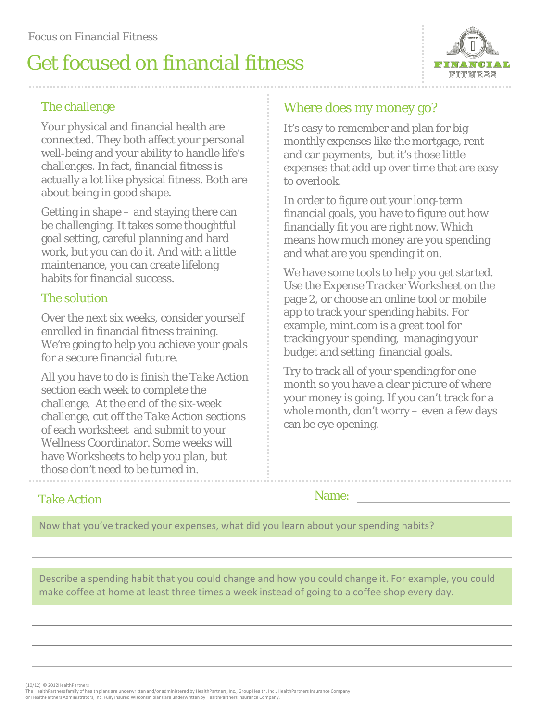# Get focused on financial fitness



### The challenge

Your physical and financial health are connected. They both affect your personal well-being and your ability to handle life's challenges. In fact, financial fitness is actually a lot like physical fitness. Both are about being in good shape.

Getting in shape – and staying there can be challenging. It takes some thoughtful goal setting, careful planning and hard work, but you can do it. And with a little maintenance, you can create lifelong habits for financial success.

#### The solution

Over the next six weeks, consider yourself enrolled in financial fitness training. We're going to help you achieve your goals for a secure financial future.

All you have to do is finish the *Take Action section* each week to complete the challenge. At the end of the six-week challenge, cut off the *Take Action* sections of each worksheet and submit to your Wellness Coordinator. Some weeks will have *Worksheets* to help you plan, but those don't need to be turned in.

### Where does my money go?

It's easy to remember and plan for big monthly expenses like the mortgage, rent and car payments, but it's those little expenses that add up over time that are easy to overlook.

In order to figure out your long-term financial goals, you have to figure out how financially fit you are right now. Which means how much money are you spending and what are you spending it on.

We have some tools to help you get started. Use the *Expense Tracker Worksheet* on the page 2, or choose an online tool or mobile app to track your spending habits. For example, mint.com is a great tool for tracking your spending, managing your budget and setting financial goals.

Try to track all of your spending for one month so you have a clear picture of where your money is going. If you can't track for a whole month, don't worry – even a few days can be eye opening.

#### Take Action

Name:

Now that you've tracked your expenses, what did you learn about your spending habits?

Describe a spending habit that you could change and how you could change it. For example, you could make coffee at home at least three times a week instead of going to a coffee shop every day.

(10/12) © 2012HealthPartners

The HealthPartners family of health plans are underwritten and/or administered by HealthPartners, Inc., Group Health, Inc., HealthPartners Insurance Company or HealthPartners Administrators, Inc. Fully insured Wisconsin plans are underwritten by HealthPartners Insurance Company.